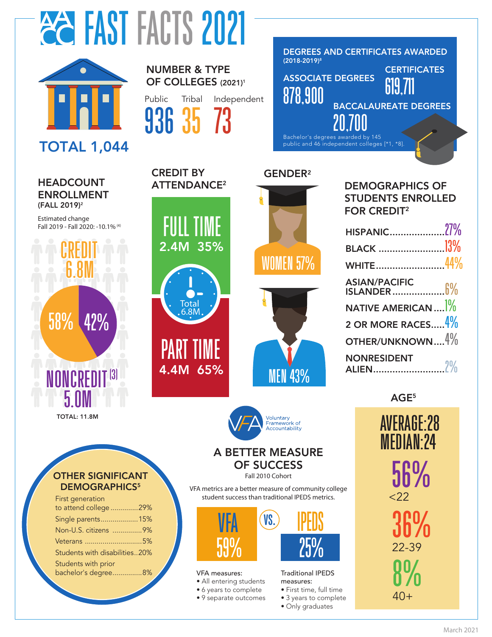



# TOTAL 1,044

#### г<br>Е HEADCOUNT ENROLLMENT (FALL 2019)2

Estimated change Fall 2019 - Fall 2020: -10.1% (4)

CREDIT



#### TOTAL: 11.8M

First generation

Students with prior

OTHER SIGNIFICANT DEMOGRAPHICS<sup>5</sup>

to attend college ..............29% Single parents...................15% Non-U.S. citizens ...............9% Veterans .............................5% Students with disabilities..20%

bachelor's degree...............8%

20

40 50

## OF COLLEGES (2021)<sup>1</sup> Public

NUMBER & TYPE

CREDIT BY

ATTENDANCE<sup>2</sup>

2.4M 35%

4.4M 65%

PART TIME

Total 6.8M

 $\cdot$ 

FULL TIME

Tribal 35 936 73 Independent



### GENDER2





| <b>DEMOGRAPHICS OF</b><br><b>STUDENTS ENROLLED</b><br><b>FOR CREDIT<sup>2</sup></b> |  |
|-------------------------------------------------------------------------------------|--|
|                                                                                     |  |
|                                                                                     |  |
| WHITE44%                                                                            |  |

| ASIAN/PACIFIC<br>ISLANDER <mark>1%</mark>      |  |
|------------------------------------------------|--|
| NATIVE AMERICAN $$ <sup><math>]\%</math></sup> |  |
| 2 OR MORE RACES $4\%$                          |  |
| OTHER/UNKNOWN $4\%$                            |  |
| <b>NONRESIDENT</b>                             |  |

AGE<sup>5</sup>

AVERAGE:28 MEDIAN:24 8% 40+ 56%  $<$  22 36% 22-39

# Voluntary<br>Framework of amewom or<br>countability

# A BETTER MEASURE OF SUCCESS

Fall 2010 Cohort

VFA metrics are a better measure of community college student success than traditional IPEDS metrics.



#### VFA measures:

- All entering students
- 6 years to complete
- 9 separate outcomes

# IPEDS

#### Traditional IPEDS measures:

- First time, full time
- 3 years to complete
- Only graduates